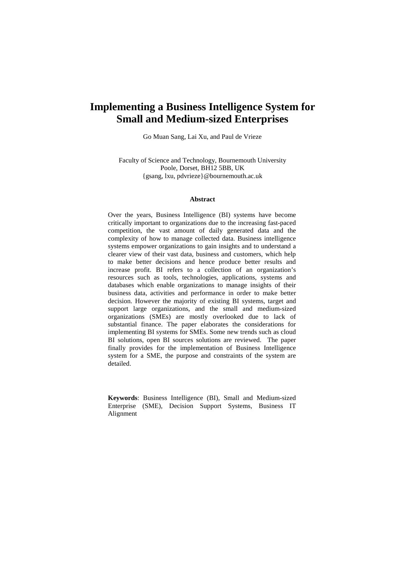# **Implementing a Business Intelligence System for Small and Medium-sized Enterprises**

Go Muan Sang, Lai Xu, and Paul de Vrieze

Faculty of Science and Technology, Bournemouth University Poole, Dorset, BH12 5BB, UK {gsang, lxu, pdvrieze}@bournemouth.ac.uk

#### **Abstract**

Over the years, Business Intelligence (BI) systems have become critically important to organizations due to the increasing fast-paced competition, the vast amount of daily generated data and the complexity of how to manage collected data. Business intelligence systems empower organizations to gain insights and to understand a clearer view of their vast data, business and customers, which help to make better decisions and hence produce better results and increase profit. BI refers to a collection of an organization's resources such as tools, technologies, applications, systems and databases which enable organizations to manage insights of their business data, activities and performance in order to make better decision. However the majority of existing BI systems, target and support large organizations, and the small and medium-sized organizations (SMEs) are mostly overlooked due to lack of substantial finance. The paper elaborates the considerations for implementing BI systems for SMEs. Some new trends such as cloud BI solutions, open BI sources solutions are reviewed. The paper finally provides for the implementation of Business Intelligence system for a SME, the purpose and constraints of the system are detailed.

**Keywords**: Business Intelligence (BI), Small and Medium-sized Enterprise (SME), Decision Support Systems, Business IT Alignment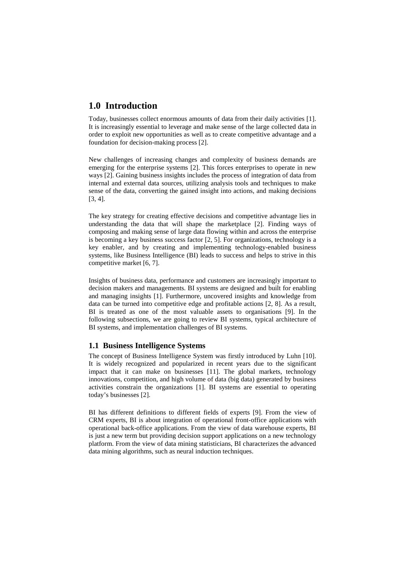## **1.0 Introduction**

Today, businesses collect enormous amounts of data from their daily activities [1]. It is increasingly essential to leverage and make sense of the large collected data in order to exploit new opportunities as well as to create competitive advantage and a foundation for decision-making process [2].

New challenges of increasing changes and complexity of business demands are emerging for the enterprise systems [2]. This forces enterprises to operate in new ways [2]. Gaining business insights includes the process of integration of data from internal and external data sources, utilizing analysis tools and techniques to make sense of the data, converting the gained insight into actions, and making decisions [3, 4].

The key strategy for creating effective decisions and competitive advantage lies in understanding the data that will shape the marketplace [2]. Finding ways of composing and making sense of large data flowing within and across the enterprise is becoming a key business success factor [2, 5]. For organizations, technology is a key enabler, and by creating and implementing technology-enabled business systems, like Business Intelligence (BI) leads to success and helps to strive in this competitive market [6, 7].

Insights of business data, performance and customers are increasingly important to decision makers and managements. BI systems are designed and built for enabling and managing insights [1]. Furthermore, uncovered insights and knowledge from data can be turned into competitive edge and profitable actions [2, 8]. As a result, BI is treated as one of the most valuable assets to organisations [9]. In the following subsections, we are going to review BI systems, typical architecture of BI systems, and implementation challenges of BI systems.

### **1.1 Business Intelligence Systems**

The concept of Business Intelligence System was firstly introduced by Luhn [10]. It is widely recognized and popularized in recent years due to the significant impact that it can make on businesses [11]. The global markets, technology innovations, competition, and high volume of data (big data) generated by business activities constrain the organizations [1]. BI systems are essential to operating today's businesses [2].

BI has different definitions to different fields of experts [9]. From the view of CRM experts, BI is about integration of operational front-office applications with operational back-office applications. From the view of data warehouse experts, BI is just a new term but providing decision support applications on a new technology platform. From the view of data mining statisticians, BI characterizes the advanced data mining algorithms, such as neural induction techniques.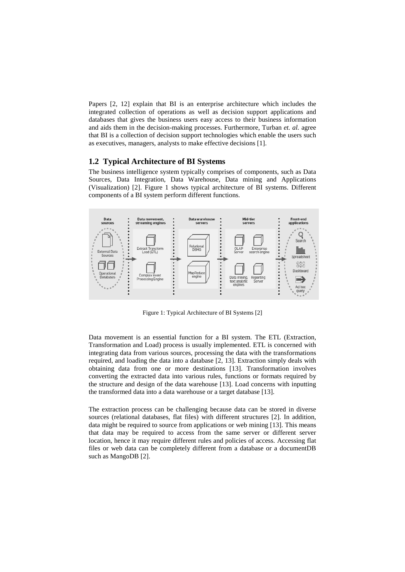Papers [2, 12] explain that BI is an enterprise architecture which includes the integrated collection of operations as well as decision support applications and databases that gives the business users easy access to their business information and aids them in the decision-making processes. Furthermore, Turban *et. al.* agree that BI is a collection of decision support technologies which enable the users such as executives, managers, analysts to make effective decisions [1].

#### **1.2 Typical Architecture of BI Systems**

The business intelligence system typically comprises of components, such as Data Sources, Data Integration, Data Warehouse, Data mining and Applications (Visualization) [2]. Figure 1 shows typical architecture of BI systems. Different components of a BI system perform different functions.



Figure 1: Typical Architecture of BI Systems [2]

Data movement is an essential function for a BI system. The ETL (Extraction, Transformation and Load) process is usually implemented. ETL is concerned with integrating data from various sources, processing the data with the transformations required, and loading the data into a database [2, 13]. Extraction simply deals with obtaining data from one or more destinations [13]. Transformation involves converting the extracted data into various rules, functions or formats required by the structure and design of the data warehouse [13]. Load concerns with inputting the transformed data into a data warehouse or a target database [13].

The extraction process can be challenging because data can be stored in diverse sources (relational databases, flat files) with different structures [2]. In addition, data might be required to source from applications or web mining [13]. This means that data may be required to access from the same server or different server location, hence it may require different rules and policies of access. Accessing flat files or web data can be completely different from a database or a documentDB such as MangoDB [2].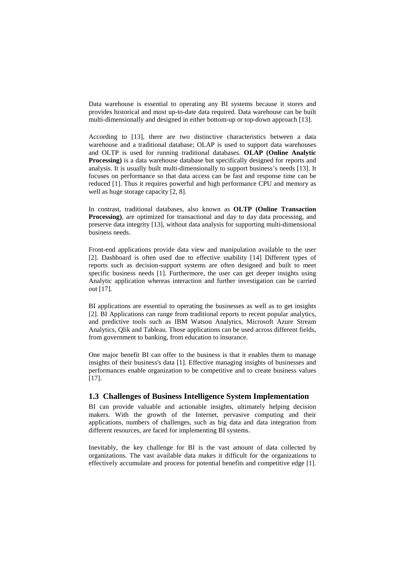Data warehouse is essential to operating any BI systems because it stores and provides historical and most up-to-date data required. Data warehouse can be built multi-dimensionally and designed in either bottom-up or top-down approach [13].

According to [13], there are two distinctive characteristics between a data warehouse and a traditional database; OLAP is used to support data warehouses and OLTP is used for running traditional databases. **OLAP (Online Analytic Processing**) is a data warehouse database but specifically designed for reports and analysis. It is usually built multi-dimensionally to support business's needs [13]. It focuses on performance so that data access can be fast and response time can be reduced [1]. Thus it requires powerful and high performance CPU and memory as well as huge storage capacity [2, 8].

In contrast, traditional databases, also known as **OLTP (Online Transaction Processing)**, are optimized for transactional and day to day data processing, and preserve data integrity [13], without data analysis for supporting multi-dimensional business needs.

Front-end applications provide data view and manipulation available to the user [2]. Dashboard is often used due to effective usability [14] Different types of reports such as decision-support systems are often designed and built to meet specific business needs [1]. Furthermore, the user can get deeper insights using Analytic application whereas interaction and further investigation can be carried out [17].

BI applications are essential to operating the businesses as well as to get insights [2]. BI Applications can range from traditional reports to recent popular analytics, and predictive tools such as IBM Watson Analytics, Microsoft Azure Stream Analytics, Qlik and Tableau. Those applications can be used across different fields, from government to banking, from education to insurance.

One major benefit BI can offer to the business is that it enables them to manage insights of their business's data [1]. Effective managing insights of businesses and performances enable organization to be competitive and to create business values [17].

#### **1.3 Challenges of Business Intelligence System Implementation**

BI can provide valuable and actionable insights, ultimately helping decision makers. With the growth of the Internet, pervasive computing and their applications, numbers of challenges, such as big data and data integration from different resources, are faced for implementing BI systems.

Inevitably, the key challenge for BI is the vast amount of data collected by organizations. The vast available data makes it difficult for the organizations to effectively accumulate and process for potential benefits and competitive edge [1].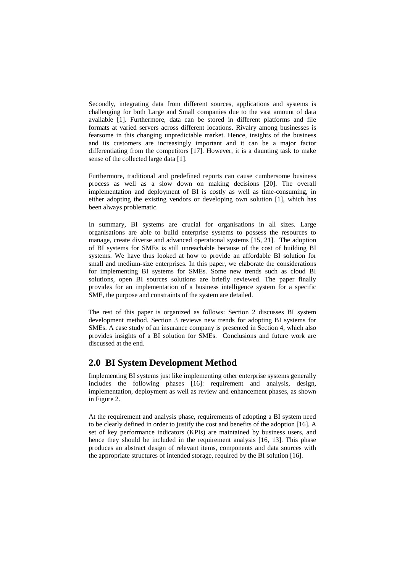Secondly, integrating data from different sources, applications and systems is challenging for both Large and Small companies due to the vast amount of data available [1]. Furthermore, data can be stored in different platforms and file formats at varied servers across different locations. Rivalry among businesses is fearsome in this changing unpredictable market. Hence, insights of the business and its customers are increasingly important and it can be a major factor differentiating from the competitors [17]. However, it is a daunting task to make sense of the collected large data [1].

Furthermore, traditional and predefined reports can cause cumbersome business process as well as a slow down on making decisions [20]. The overall implementation and deployment of BI is costly as well as time-consuming, in either adopting the existing vendors or developing own solution [1], which has been always problematic.

In summary, BI systems are crucial for organisations in all sizes. Large organisations are able to build enterprise systems to possess the resources to manage, create diverse and advanced operational systems [15, 21]. The adoption of BI systems for SMEs is still unreachable because of the cost of building BI systems. We have thus looked at how to provide an affordable BI solution for small and medium-size enterprises. In this paper, we elaborate the considerations for implementing BI systems for SMEs. Some new trends such as cloud BI solutions, open BI sources solutions are briefly reviewed. The paper finally provides for an implementation of a business intelligence system for a specific SME, the purpose and constraints of the system are detailed.

The rest of this paper is organized as follows: Section 2 discusses BI system development method. Section 3 reviews new trends for adopting BI systems for SMEs. A case study of an insurance company is presented in Section 4, which also provides insights of a BI solution for SMEs. Conclusions and future work are discussed at the end.

## **2.0 BI System Development Method**

Implementing BI systems just like implementing other enterprise systems generally includes the following phases [16]: requirement and analysis, design, implementation, deployment as well as review and enhancement phases, as shown in Figure 2.

At the requirement and analysis phase, requirements of adopting a BI system need to be clearly defined in order to justify the cost and benefits of the adoption [16]. A set of key performance indicators (KPIs) are maintained by business users, and hence they should be included in the requirement analysis [16, 13]. This phase produces an abstract design of relevant items, components and data sources with the appropriate structures of intended storage, required by the BI solution [16].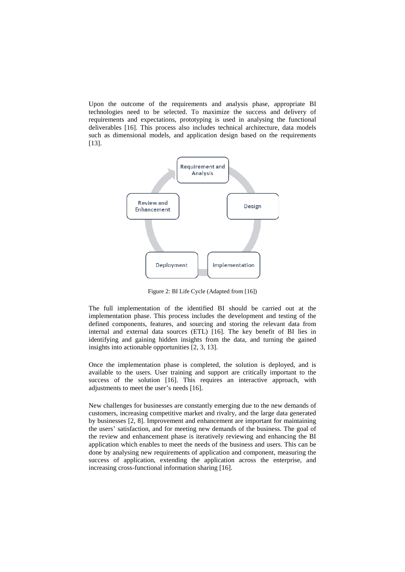Upon the outcome of the requirements and analysis phase, appropriate BI technologies need to be selected. To maximize the success and delivery of requirements and expectations, prototyping is used in analysing the functional deliverables [16]. This process also includes technical architecture, data models such as dimensional models, and application design based on the requirements [13].



Figure 2: BI Life Cycle (Adapted from [16])

The full implementation of the identified BI should be carried out at the implementation phase. This process includes the development and testing of the defined components, features, and sourcing and storing the relevant data from internal and external data sources (ETL) [16]. The key benefit of BI lies in identifying and gaining hidden insights from the data, and turning the gained insights into actionable opportunities [2, 3, 13].

Once the implementation phase is completed, the solution is deployed, and is available to the users. User training and support are critically important to the success of the solution [16]. This requires an interactive approach, with adjustments to meet the user's needs [16].

New challenges for businesses are constantly emerging due to the new demands of customers, increasing competitive market and rivalry, and the large data generated by businesses [2, 8]. Improvement and enhancement are important for maintaining the users' satisfaction, and for meeting new demands of the business. The goal of the review and enhancement phase is iteratively reviewing and enhancing the BI application which enables to meet the needs of the business and users. This can be done by analysing new requirements of application and component, measuring the success of application, extending the application across the enterprise, and increasing cross-functional information sharing [16].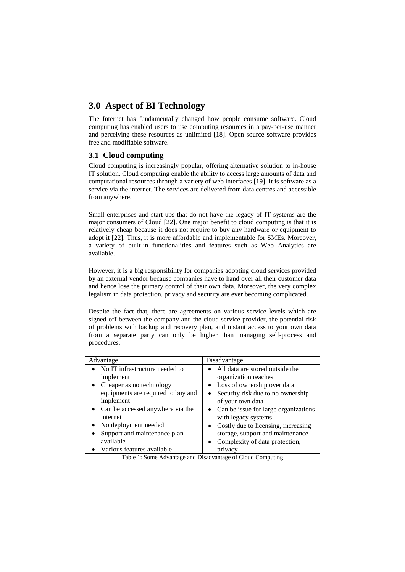## **3.0 Aspect of BI Technology**

The Internet has fundamentally changed how people consume software. Cloud computing has enabled users to use computing resources in a pay-per-use manner and perceiving these resources as unlimited [18]. Open source software provides free and modifiable software.

## **3.1 Cloud computing**

Cloud computing is increasingly popular, offering alternative solution to in-house IT solution. Cloud computing enable the ability to access large amounts of data and computational resources through a variety of web interfaces [19]. It is software as a service via the internet. The services are delivered from data centres and accessible from anywhere.

Small enterprises and start-ups that do not have the legacy of IT systems are the major consumers of Cloud [22]. One major benefit to cloud computing is that it is relatively cheap because it does not require to buy any hardware or equipment to adopt it [22]. Thus, it is more affordable and implementable for SMEs. Moreover, a variety of built-in functionalities and features such as Web Analytics are available.

However, it is a big responsibility for companies adopting cloud services provided by an external vendor because companies have to hand over all their customer data and hence lose the primary control of their own data. Moreover, the very complex legalism in data protection, privacy and security are ever becoming complicated.

Despite the fact that, there are agreements on various service levels which are signed off between the company and the cloud service provider, the potential risk of problems with backup and recovery plan, and instant access to your own data from a separate party can only be higher than managing self-process and procedures.

| Advantage                          | Disadvantage                                      |
|------------------------------------|---------------------------------------------------|
| • No IT infrastructure needed to   | All data are stored outside the                   |
| implement                          | organization reaches                              |
| Cheaper as no technology           | • Loss of ownership over data                     |
| equipments are required to buy and | Security risk due to no ownership<br>$\bullet$    |
| implement                          | of your own data                                  |
| • Can be accessed anywhere via the | Can be issue for large organizations<br>$\bullet$ |
| internet                           | with legacy systems                               |
| • No deployment needed             | Costly due to licensing, increasing<br>$\bullet$  |
| Support and maintenance plan       | storage, support and maintenance                  |
| available                          | Complexity of data protection,<br>$\bullet$       |
| • Various features available       | privacy                                           |

Table 1: Some Advantage and Disadvantage of Cloud Computing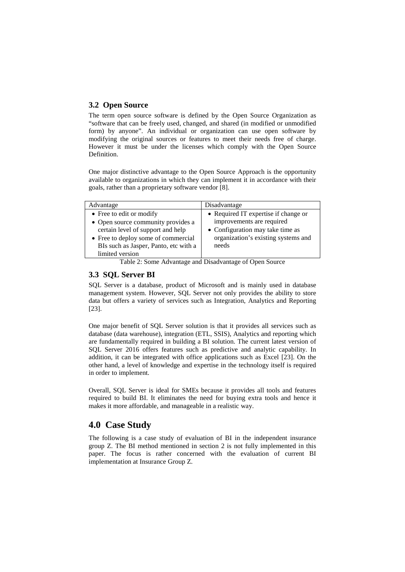#### **3.2 Open Source**

The term open source software is defined by the Open Source Organization as "software that can be freely used, changed, and shared (in modified or unmodified form) by anyone". An individual or organization can use open software by modifying the original sources or features to meet their needs free of charge. However it must be under the licenses which comply with the Open Source Definition.

One major distinctive advantage to the Open Source Approach is the opportunity available to organizations in which they can implement it in accordance with their goals, rather than a proprietary software vendor [8].

| Advantage                             | Disadvantage                         |
|---------------------------------------|--------------------------------------|
| • Free to edit or modify              | • Required IT expertise if change or |
| • Open source community provides a    | improvements are required            |
| certain level of support and help     | • Configuration may take time as     |
| • Free to deploy some of commercial   | organization's existing systems and  |
| BIs such as Jasper, Panto, etc with a | needs                                |
| limited version                       |                                      |

Table 2: Some Advantage and Disadvantage of Open Source

### **3.3 SQL Server BI**

SQL Server is a database, product of Microsoft and is mainly used in database management system. However, SQL Server not only provides the ability to store data but offers a variety of services such as Integration, Analytics and Reporting [23].

One major benefit of SQL Server solution is that it provides all services such as database (data warehouse), integration (ETL, SSIS), Analytics and reporting which are fundamentally required in building a BI solution. The current latest version of SQL Server 2016 offers features such as predictive and analytic capability. In addition, it can be integrated with office applications such as Excel [23]. On the other hand, a level of knowledge and expertise in the technology itself is required in order to implement.

Overall, SQL Server is ideal for SMEs because it provides all tools and features required to build BI. It eliminates the need for buying extra tools and hence it makes it more affordable, and manageable in a realistic way.

## **4.0 Case Study**

The following is a case study of evaluation of BI in the independent insurance group Z. The BI method mentioned in section 2 is not fully implemented in this paper. The focus is rather concerned with the evaluation of current BI implementation at Insurance Group Z.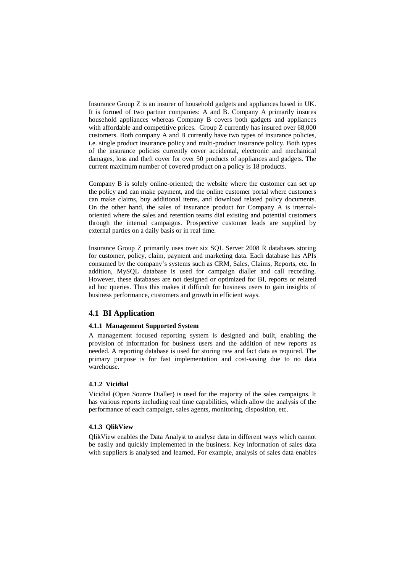Insurance Group Z is an insurer of household gadgets and appliances based in UK. It is formed of two partner companies: A and B. Company A primarily insures household appliances whereas Company B covers both gadgets and appliances with affordable and competitive prices. Group Z currently has insured over 68,000 customers. Both company A and B currently have two types of insurance policies, i.e. single product insurance policy and multi-product insurance policy. Both types of the insurance policies currently cover accidental, electronic and mechanical damages, loss and theft cover for over 50 products of appliances and gadgets. The current maximum number of covered product on a policy is 18 products.

Company B is solely online-oriented; the website where the customer can set up the policy and can make payment, and the online customer portal where customers can make claims, buy additional items, and download related policy documents. On the other hand, the sales of insurance product for Company A is internaloriented where the sales and retention teams dial existing and potential customers through the internal campaigns. Prospective customer leads are supplied by external parties on a daily basis or in real time.

Insurance Group Z primarily uses over six SQL Server 2008 R databases storing for customer, policy, claim, payment and marketing data. Each database has APIs consumed by the company's systems such as CRM, Sales, Claims, Reports, etc. In addition, MySQL database is used for campaign dialler and call recording. However, these databases are not designed or optimized for BI, reports or related ad hoc queries. Thus this makes it difficult for business users to gain insights of business performance, customers and growth in efficient ways.

#### **4.1 BI Application**

#### **4.1.1 Management Supported System**

A management focused reporting system is designed and built, enabling the provision of information for business users and the addition of new reports as needed. A reporting database is used for storing raw and fact data as required. The primary purpose is for fast implementation and cost-saving due to no data warehouse.

#### **4.1.2 Vicidial**

Vicidial (Open Source Dialler) is used for the majority of the sales campaigns. It has various reports including real time capabilities, which allow the analysis of the performance of each campaign, sales agents, monitoring, disposition, etc.

#### **4.1.3 QlikView**

QlikView enables the Data Analyst to analyse data in different ways which cannot be easily and quickly implemented in the business. Key information of sales data with suppliers is analysed and learned. For example, analysis of sales data enables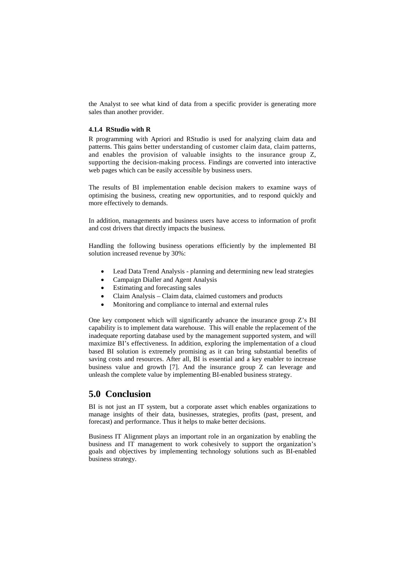the Analyst to see what kind of data from a specific provider is generating more sales than another provider.

#### **4.1.4 RStudio with R**

R programming with Apriori and RStudio is used for analyzing claim data and patterns. This gains better understanding of customer claim data, claim patterns, and enables the provision of valuable insights to the insurance group Z, supporting the decision-making process. Findings are converted into interactive web pages which can be easily accessible by business users.

The results of BI implementation enable decision makers to examine ways of optimising the business, creating new opportunities, and to respond quickly and more effectively to demands.

In addition, managements and business users have access to information of profit and cost drivers that directly impacts the business.

Handling the following business operations efficiently by the implemented BI solution increased revenue by 30%:

- Lead Data Trend Analysis planning and determining new lead strategies
- Campaign Dialler and Agent Analysis
- Estimating and forecasting sales
- Claim Analysis Claim data, claimed customers and products
- Monitoring and compliance to internal and external rules

One key component which will significantly advance the insurance group Z's BI capability is to implement data warehouse. This will enable the replacement of the inadequate reporting database used by the management supported system, and will maximize BI's effectiveness. In addition, exploring the implementation of a cloud based BI solution is extremely promising as it can bring substantial benefits of saving costs and resources. After all, BI is essential and a key enabler to increase business value and growth [7]. And the insurance group Z can leverage and unleash the complete value by implementing BI-enabled business strategy.

## **5.0 Conclusion**

BI is not just an IT system, but a corporate asset which enables organizations to manage insights of their data, businesses, strategies, profits (past, present, and forecast) and performance. Thus it helps to make better decisions.

Business IT Alignment plays an important role in an organization by enabling the business and IT management to work cohesively to support the organization's goals and objectives by implementing technology solutions such as BI-enabled business strategy.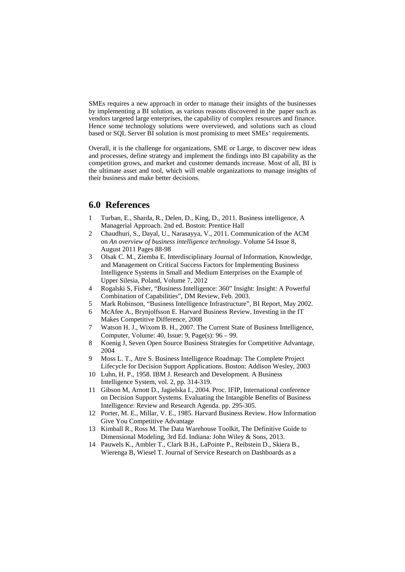SMEs requires a new approach in order to manage their insights of the businesses by implementing a BI solution, as various reasons discovered in the paper such as vendors targeted large enterprises, the capability of complex resources and finance. Hence some technology solutions were overviewed, and solutions such as cloud based or SQL Server BI solution is most promising to meet SMEs' requirements.

Overall, it is the challenge for organizations, SME or Large, to discover new ideas and processes, define strategy and implement the findings into BI capability as the competition grows, and market and customer demands increase. Most of all, BI is the ultimate asset and tool, which will enable organizations to manage insights of their business and make better decisions.

## **6.0 References**

- 1 Turban, E., Sharda, R., Delen, D., King, D., 2011. Business intelligence, A Managerial Approach. 2nd ed. Boston: Prentice Hall
- 2 Chaudhuri, S., Dayal, U., Narasayya, V., 2011. Communication of the ACM on *An overview of business intelligence technology*. Volume 54 Issue 8, August 2011 Pages 88-98
- 3 Olsak C. M., Ziemba E. Interdisciplinary Journal of Information, Knowledge, and Management on Critical Success Factors for Implementing Business Intelligence Systems in Small and Medium Enterprises on the Example of Upper Silesia, Poland, Volume 7, 2012
- 4 Rogalski S, Fisher, "Business Intelligence: 360" Insight: Insight: A Powerful Combination of Capabilities", DM Review, Feb. 2003.
- 5 Mark Robinson, "Business Intelligence Infrastructure", BI Report, May 2002.
- 6 McAfee A., Brynjolfsson E. Harvard Business Review. Investing in the IT Makes Competitive Difference, 2008
- 7 Watson H. J., Wixom B. H., 2007. The Current State of Business Intelligence, Computer, Volume: 40, Issue: 9, Page(s): 96 – 99.
- 8 Koenig J, Seven Open Source Business Strategies for Competitive Advantage, 2004
- 9 Moss L. T., Atre S. Business Intelligence Roadmap: The Complete Project Lifecycle for Decision Support Applications. Boston: Addison Wesley, 2003
- 10 Luhn, H. P., 1958. IBM J. Research and Development. A Business Intelligence System, vol. 2, pp. 314-319.
- 11 Gibson M, Arnott D., Jagielska I., 2004. Proc. IFIP, International conference on Decision Support Systems. Evaluating the Intangible Benefits of Business Intelligence: Review and Research Agenda. pp. 295-305.
- 12 Porter, M. E., Millar, V. E., 1985. Harvard Business Review. How Information Give You Competitive Advantage
- 13 Kimball R., Ross M. The Data Warehouse Toolkit, The Definitive Guide to Dimensional Modeling, 3rd Ed. Indiana: John Wiley & Sons, 2013.
- 14 Pauwels K., Ambler T., Clark B.H., LaPointe P., Reibstein D., Skiera B., Wierenga B, Wiesel T. Journal of Service Research on Dashboards as a